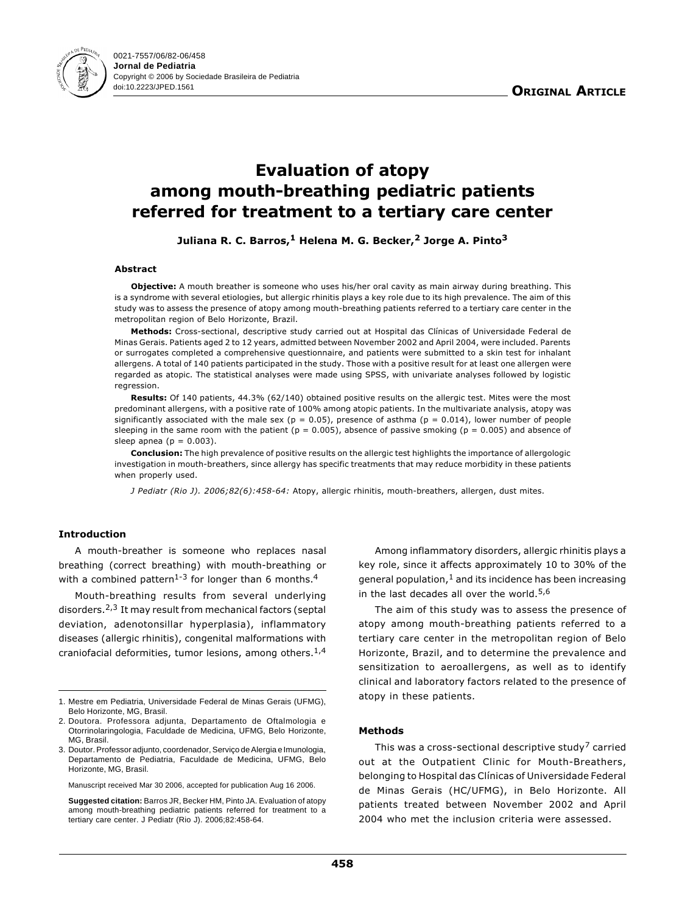

# Evaluation of atopy among mouth-breathing pediatric patients referred for treatment to a tertiary care center

Juliana R. C. Barros,<sup>1</sup> Helena M. G. Becker,<sup>2</sup> Jorge A. Pinto<sup>3</sup>

#### Abstract

Objective: A mouth breather is someone who uses his/her oral cavity as main airway during breathing. This is a syndrome with several etiologies, but allergic rhinitis plays a key role due to its high prevalence. The aim of this study was to assess the presence of atopy among mouth-breathing patients referred to a tertiary care center in the metropolitan region of Belo Horizonte, Brazil.

Methods: Cross-sectional, descriptive study carried out at Hospital das Clínicas of Universidade Federal de Minas Gerais. Patients aged 2 to 12 years, admitted between November 2002 and April 2004, were included. Parents or surrogates completed a comprehensive questionnaire, and patients were submitted to a skin test for inhalant allergens. A total of 140 patients participated in the study. Those with a positive result for at least one allergen were regarded as atopic. The statistical analyses were made using SPSS, with univariate analyses followed by logistic regression.

Results: Of 140 patients, 44.3% (62/140) obtained positive results on the allergic test. Mites were the most predominant allergens, with a positive rate of 100% among atopic patients. In the multivariate analysis, atopy was significantly associated with the male sex ( $p = 0.05$ ), presence of asthma ( $p = 0.014$ ), lower number of people sleeping in the same room with the patient ( $p = 0.005$ ), absence of passive smoking ( $p = 0.005$ ) and absence of sleep apnea ( $p = 0.003$ ).

Conclusion: The high prevalence of positive results on the allergic test highlights the importance of allergologic investigation in mouth-breathers, since allergy has specific treatments that may reduce morbidity in these patients when properly used.

J Pediatr (Rio J). 2006;82(6):458-64: Atopy, allergic rhinitis, mouth-breathers, allergen, dust mites.

# Introduction

A mouth-breather is someone who replaces nasal breathing (correct breathing) with mouth-breathing or with a combined pattern<sup>1-3</sup> for longer than 6 months.<sup>4</sup>

Mouth-breathing results from several underlying disorders.2,3 It may result from mechanical factors (septal deviation, adenotonsillar hyperplasia), inflammatory diseases (allergic rhinitis), congenital malformations with craniofacial deformities, tumor lesions, among others.1,4

Manuscript received Mar 30 2006, accepted for publication Aug 16 2006.

**Suggested citation:** Barros JR, Becker HM, Pinto JA. Evaluation of atopy among mouth-breathing pediatric patients referred for treatment to a tertiary care center. J Pediatr (Rio J). 2006;82:458-64.

Among inflammatory disorders, allergic rhinitis plays a key role, since it affects approximately 10 to 30% of the general population, $1$  and its incidence has been increasing in the last decades all over the world.<sup>5,6</sup>

The aim of this study was to assess the presence of atopy among mouth-breathing patients referred to a tertiary care center in the metropolitan region of Belo Horizonte, Brazil, and to determine the prevalence and sensitization to aeroallergens, as well as to identify clinical and laboratory factors related to the presence of atopy in these patients.

# Methods

This was a cross-sectional descriptive study<sup>7</sup> carried out at the Outpatient Clinic for Mouth-Breathers, belonging to Hospital das Clínicas of Universidade Federal de Minas Gerais (HC/UFMG), in Belo Horizonte. All patients treated between November 2002 and April 2004 who met the inclusion criteria were assessed.

<sup>1.</sup> Mestre em Pediatria, Universidade Federal de Minas Gerais (UFMG), Belo Horizonte, MG, Brasil.

<sup>2.</sup> Doutora. Professora adjunta, Departamento de Oftalmologia e Otorrinolaringologia, Faculdade de Medicina, UFMG, Belo Horizonte, MG, Brasil.

<sup>3.</sup> Doutor. Professor adjunto, coordenador, Serviço de Alergia e Imunologia, Departamento de Pediatria, Faculdade de Medicina, UFMG, Belo Horizonte, MG, Brasil.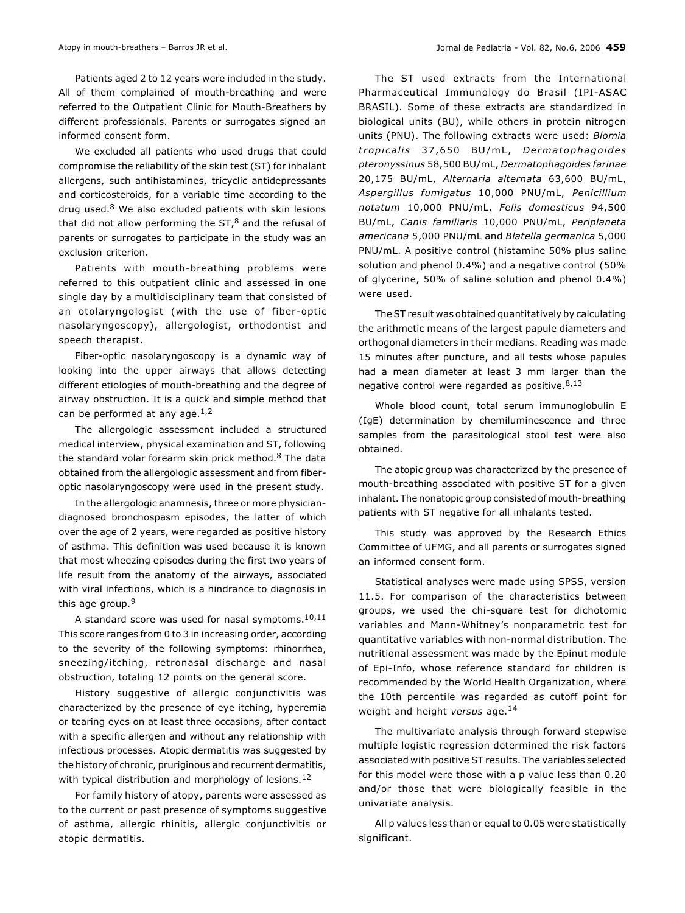Patients aged 2 to 12 years were included in the study. All of them complained of mouth-breathing and were referred to the Outpatient Clinic for Mouth-Breathers by different professionals. Parents or surrogates signed an informed consent form.

We excluded all patients who used drugs that could compromise the reliability of the skin test (ST) for inhalant allergens, such antihistamines, tricyclic antidepressants and corticosteroids, for a variable time according to the drug used. $8$  We also excluded patients with skin lesions that did not allow performing the  $ST<sub>1</sub><sup>8</sup>$  and the refusal of parents or surrogates to participate in the study was an exclusion criterion.

Patients with mouth-breathing problems were referred to this outpatient clinic and assessed in one single day by a multidisciplinary team that consisted of an otolaryngologist (with the use of fiber-optic nasolaryngoscopy), allergologist, orthodontist and speech therapist.

Fiber-optic nasolaryngoscopy is a dynamic way of looking into the upper airways that allows detecting different etiologies of mouth-breathing and the degree of airway obstruction. It is a quick and simple method that can be performed at any age. $1,2$ 

The allergologic assessment included a structured medical interview, physical examination and ST, following the standard volar forearm skin prick method. $8$  The data obtained from the allergologic assessment and from fiberoptic nasolaryngoscopy were used in the present study.

In the allergologic anamnesis, three or more physiciandiagnosed bronchospasm episodes, the latter of which over the age of 2 years, were regarded as positive history of asthma. This definition was used because it is known that most wheezing episodes during the first two years of life result from the anatomy of the airways, associated with viral infections, which is a hindrance to diagnosis in this age group.<sup>9</sup>

A standard score was used for nasal symptoms.10,11 This score ranges from 0 to 3 in increasing order, according to the severity of the following symptoms: rhinorrhea, sneezing/itching, retronasal discharge and nasal obstruction, totaling 12 points on the general score.

History suggestive of allergic conjunctivitis was characterized by the presence of eye itching, hyperemia or tearing eyes on at least three occasions, after contact with a specific allergen and without any relationship with infectious processes. Atopic dermatitis was suggested by the history of chronic, pruriginous and recurrent dermatitis, with typical distribution and morphology of lesions.<sup>12</sup>

For family history of atopy, parents were assessed as to the current or past presence of symptoms suggestive of asthma, allergic rhinitis, allergic conjunctivitis or atopic dermatitis.

The ST used extracts from the International Pharmaceutical Immunology do Brasil (IPI-ASAC BRASIL). Some of these extracts are standardized in biological units (BU), while others in protein nitrogen units (PNU). The following extracts were used: Blomia tropicalis 37,650 BU/mL, Dermatophagoides pteronyssinus 58,500 BU/mL, Dermatophagoides farinae 20,175 BU/mL, Alternaria alternata 63,600 BU/mL, Aspergillus fumigatus 10,000 PNU/mL, Penicillium notatum 10,000 PNU/mL, Felis domesticus 94,500 BU/mL, Canis familiaris 10,000 PNU/mL, Periplaneta americana 5,000 PNU/mL and Blatella germanica 5,000 PNU/mL. A positive control (histamine 50% plus saline solution and phenol 0.4%) and a negative control (50% of glycerine, 50% of saline solution and phenol 0.4%) were used.

The ST result was obtained quantitatively by calculating the arithmetic means of the largest papule diameters and orthogonal diameters in their medians. Reading was made 15 minutes after puncture, and all tests whose papules had a mean diameter at least 3 mm larger than the negative control were regarded as positive. $8,13$ 

Whole blood count, total serum immunoglobulin E (IgE) determination by chemiluminescence and three samples from the parasitological stool test were also obtained.

The atopic group was characterized by the presence of mouth-breathing associated with positive ST for a given inhalant. The nonatopic group consisted of mouth-breathing patients with ST negative for all inhalants tested.

This study was approved by the Research Ethics Committee of UFMG, and all parents or surrogates signed an informed consent form.

Statistical analyses were made using SPSS, version 11.5. For comparison of the characteristics between groups, we used the chi-square test for dichotomic variables and Mann-Whitney's nonparametric test for quantitative variables with non-normal distribution. The nutritional assessment was made by the Epinut module of Epi-Info, whose reference standard for children is recommended by the World Health Organization, where the 10th percentile was regarded as cutoff point for weight and height versus age.<sup>14</sup>

The multivariate analysis through forward stepwise multiple logistic regression determined the risk factors associated with positive ST results. The variables selected for this model were those with a p value less than 0.20 and/or those that were biologically feasible in the univariate analysis.

All p values less than or equal to 0.05 were statistically significant.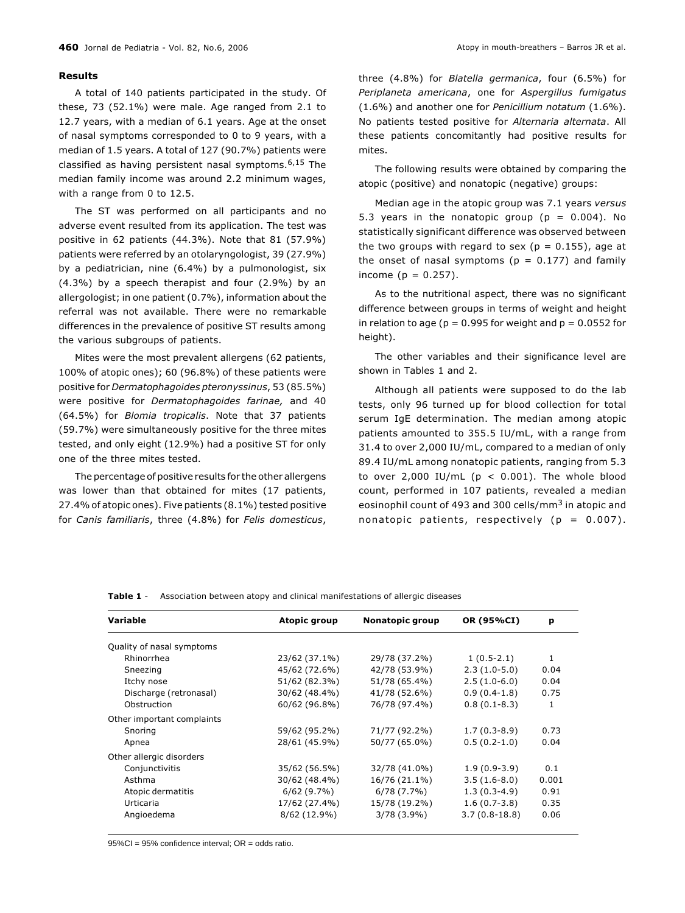## Results

A total of 140 patients participated in the study. Of these, 73 (52.1%) were male. Age ranged from 2.1 to 12.7 years, with a median of 6.1 years. Age at the onset of nasal symptoms corresponded to 0 to 9 years, with a median of 1.5 years. A total of 127 (90.7%) patients were classified as having persistent nasal symptoms.6,15 The median family income was around 2.2 minimum wages, with a range from 0 to 12.5.

The ST was performed on all participants and no adverse event resulted from its application. The test was positive in 62 patients (44.3%). Note that 81 (57.9%) patients were referred by an otolaryngologist, 39 (27.9%) by a pediatrician, nine (6.4%) by a pulmonologist, six (4.3%) by a speech therapist and four (2.9%) by an allergologist; in one patient (0.7%), information about the referral was not available. There were no remarkable differences in the prevalence of positive ST results among the various subgroups of patients.

Mites were the most prevalent allergens (62 patients, 100% of atopic ones); 60 (96.8%) of these patients were positive for Dermatophagoides pteronyssinus, 53 (85.5%) were positive for Dermatophagoides farinae, and 40 (64.5%) for Blomia tropicalis. Note that 37 patients (59.7%) were simultaneously positive for the three mites tested, and only eight (12.9%) had a positive ST for only one of the three mites tested.

The percentage of positive results for the other allergens was lower than that obtained for mites (17 patients, 27.4% of atopic ones). Five patients (8.1%) tested positive for Canis familiaris, three (4.8%) for Felis domesticus,

three (4.8%) for Blatella germanica, four (6.5%) for Periplaneta americana, one for Aspergillus fumigatus (1.6%) and another one for Penicillium notatum (1.6%). No patients tested positive for Alternaria alternata. All these patients concomitantly had positive results for mites.

The following results were obtained by comparing the atopic (positive) and nonatopic (negative) groups:

Median age in the atopic group was 7.1 years versus 5.3 years in the nonatopic group ( $p = 0.004$ ). No statistically significant difference was observed between the two groups with regard to sex ( $p = 0.155$ ), age at the onset of nasal symptoms ( $p = 0.177$ ) and family income ( $p = 0.257$ ).

As to the nutritional aspect, there was no significant difference between groups in terms of weight and height in relation to age ( $p = 0.995$  for weight and  $p = 0.0552$  for height).

The other variables and their significance level are shown in Tables 1 and 2.

Although all patients were supposed to do the lab tests, only 96 turned up for blood collection for total serum IgE determination. The median among atopic patients amounted to 355.5 IU/mL, with a range from 31.4 to over 2,000 IU/mL, compared to a median of only 89.4 IU/mL among nonatopic patients, ranging from 5.3 to over 2,000 IU/mL ( $p < 0.001$ ). The whole blood count, performed in 107 patients, revealed a median eosinophil count of 493 and 300 cells/mm<sup>3</sup> in atopic and nonatopic patients, respectively ( $p = 0.007$ ).

| Variable                   | <b>Atopic group</b> | Nonatopic group | OR (95%CI)      | p     |
|----------------------------|---------------------|-----------------|-----------------|-------|
| Quality of nasal symptoms  |                     |                 |                 |       |
| Rhinorrhea                 | 23/62 (37.1%)       | 29/78 (37.2%)   | $1(0.5-2.1)$    | 1     |
| Sneezing                   | 45/62 (72.6%)       | 42/78 (53.9%)   | $2.3(1.0-5.0)$  | 0.04  |
| Itchy nose                 | 51/62 (82.3%)       | 51/78 (65.4%)   | $2.5(1.0-6.0)$  | 0.04  |
| Discharge (retronasal)     | 30/62 (48.4%)       | 41/78 (52.6%)   | $0.9(0.4-1.8)$  | 0.75  |
| Obstruction                | 60/62 (96.8%)       | 76/78 (97.4%)   | $0.8(0.1-8.3)$  | 1     |
| Other important complaints |                     |                 |                 |       |
| Snoring                    | 59/62 (95.2%)       | 71/77 (92.2%)   | $1.7(0.3-8.9)$  | 0.73  |
| Apnea                      | 28/61 (45.9%)       | 50/77 (65.0%)   | $0.5(0.2-1.0)$  | 0.04  |
| Other allergic disorders   |                     |                 |                 |       |
| Conjunctivitis             | 35/62 (56.5%)       | 32/78 (41.0%)   | $1.9(0.9-3.9)$  | 0.1   |
| Asthma                     | 30/62 (48.4%)       | 16/76 (21.1%)   | $3.5(1.6-8.0)$  | 0.001 |
| Atopic dermatitis          | 6/62(9.7%)          | 6/78(7.7%)      | $1.3(0.3-4.9)$  | 0.91  |
| Urticaria                  | 17/62 (27.4%)       | 15/78 (19.2%)   | $1.6(0.7-3.8)$  | 0.35  |
| Angioedema                 | 8/62 (12.9%)        | $3/78(3.9\%)$   | $3.7(0.8-18.8)$ | 0.06  |
|                            |                     |                 |                 |       |

Table 1 - Association between atopy and clinical manifestations of allergic diseases

95%CI = 95% confidence interval; OR = odds ratio.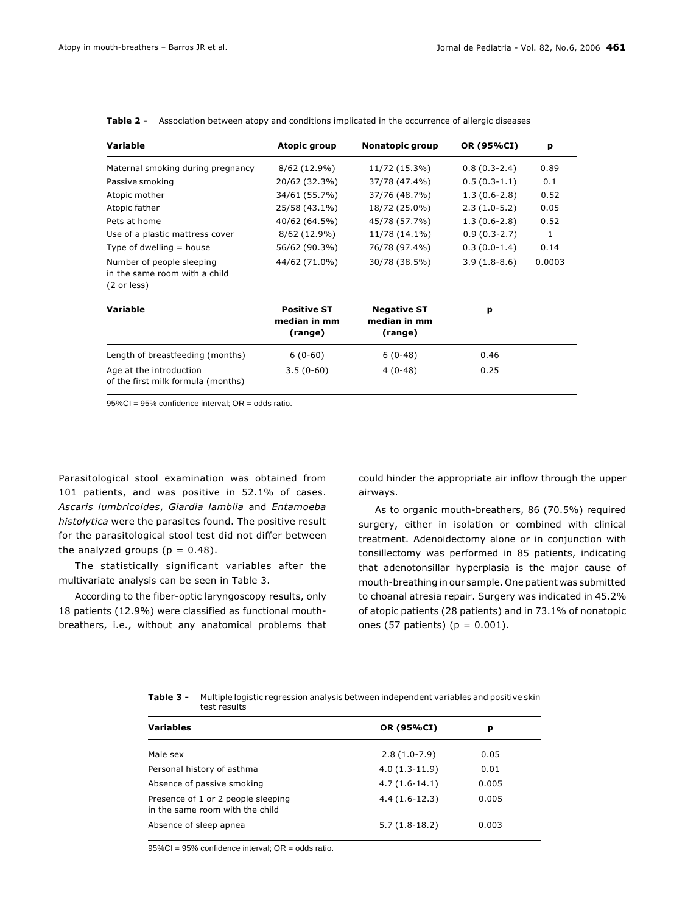| <b>Variable</b>                                                           | <b>Atopic group</b>                           | Nonatopic group                               | OR (95%CI)     | p      |
|---------------------------------------------------------------------------|-----------------------------------------------|-----------------------------------------------|----------------|--------|
| Maternal smoking during pregnancy                                         | $8/62(12.9\%)$                                | 11/72 (15.3%)                                 | $0.8(0.3-2.4)$ | 0.89   |
| Passive smoking                                                           | 20/62 (32.3%)                                 | 37/78 (47.4%)                                 | $0.5(0.3-1.1)$ | 0.1    |
| Atopic mother                                                             | 34/61 (55.7%)                                 | 37/76 (48.7%)                                 | $1.3(0.6-2.8)$ | 0.52   |
| Atopic father                                                             | 25/58 (43.1%)                                 | 18/72 (25.0%)                                 | $2.3(1.0-5.2)$ | 0.05   |
| Pets at home                                                              | 40/62 (64.5%)                                 | 45/78 (57.7%)                                 | $1.3(0.6-2.8)$ | 0.52   |
| Use of a plastic mattress cover                                           | 8/62 (12.9%)                                  | 11/78 (14.1%)                                 | $0.9(0.3-2.7)$ | 1      |
| Type of dwelling $=$ house                                                | 56/62 (90.3%)                                 | 76/78 (97.4%)                                 | $0.3(0.0-1.4)$ | 0.14   |
| Number of people sleeping<br>in the same room with a child<br>(2 or less) | 44/62 (71.0%)                                 | 30/78 (38.5%)                                 | $3.9(1.8-8.6)$ | 0.0003 |
| Variable                                                                  | <b>Positive ST</b><br>median in mm<br>(range) | <b>Negative ST</b><br>median in mm<br>(range) | p              |        |
| Length of breastfeeding (months)                                          | $6(0-60)$                                     | $6(0-48)$                                     | 0.46           |        |
| Age at the introduction<br>of the first milk formula (months)             | $3.5(0-60)$                                   | $4(0-48)$                                     | 0.25           |        |

Table 2 - Association between atopy and conditions implicated in the occurrence of allergic diseases

95%CI = 95% confidence interval; OR = odds ratio.

Parasitological stool examination was obtained from 101 patients, and was positive in 52.1% of cases. Ascaris lumbricoides, Giardia lamblia and Entamoeba histolytica were the parasites found. The positive result for the parasitological stool test did not differ between the analyzed groups ( $p = 0.48$ ).

The statistically significant variables after the multivariate analysis can be seen in Table 3.

According to the fiber-optic laryngoscopy results, only 18 patients (12.9%) were classified as functional mouthbreathers, i.e., without any anatomical problems that could hinder the appropriate air inflow through the upper airways.

As to organic mouth-breathers, 86 (70.5%) required surgery, either in isolation or combined with clinical treatment. Adenoidectomy alone or in conjunction with tonsillectomy was performed in 85 patients, indicating that adenotonsillar hyperplasia is the major cause of mouth-breathing in our sample. One patient was submitted to choanal atresia repair. Surgery was indicated in 45.2% of atopic patients (28 patients) and in 73.1% of nonatopic ones (57 patients) ( $p = 0.001$ ).

| <b>Variables</b>                                                      | OR (95%CI)      | р     |
|-----------------------------------------------------------------------|-----------------|-------|
| Male sex                                                              | $2.8(1.0-7.9)$  | 0.05  |
| Personal history of asthma                                            | $4.0(1.3-11.9)$ | 0.01  |
| Absence of passive smoking                                            | $4.7(1.6-14.1)$ | 0.005 |
| Presence of 1 or 2 people sleeping<br>in the same room with the child | $4.4(1.6-12.3)$ | 0.005 |
| Absence of sleep apnea                                                | $5.7(1.8-18.2)$ | 0.003 |

Table 3 - Multiple logistic regression analysis between independent variables and positive skin test results

95%CI = 95% confidence interval; OR = odds ratio.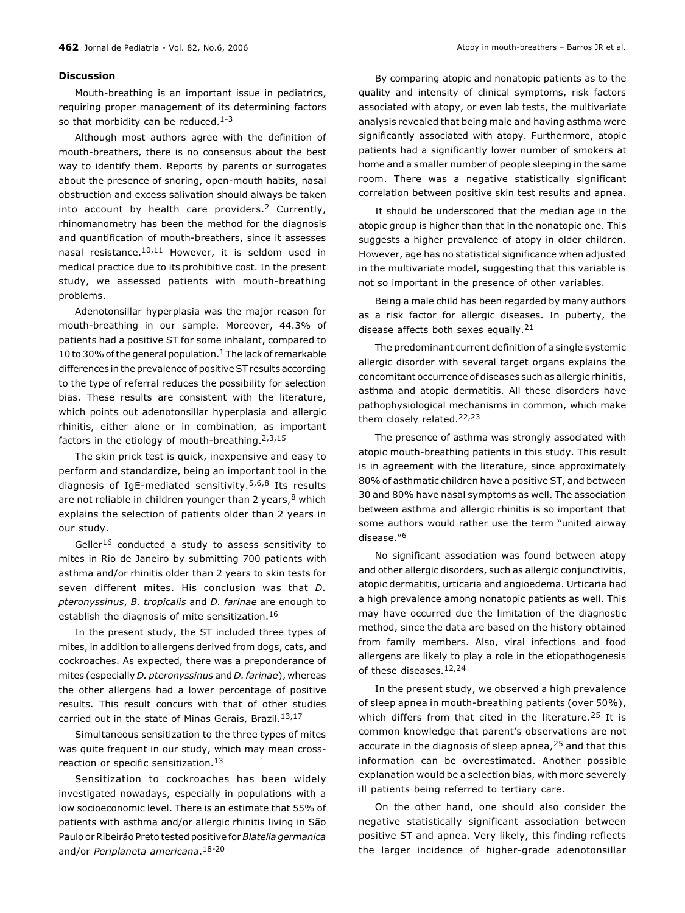### **Discussion**

Mouth-breathing is an important issue in pediatrics, requiring proper management of its determining factors so that morbidity can be reduced.<sup>1-3</sup>

Although most authors agree with the definition of mouth-breathers, there is no consensus about the best way to identify them. Reports by parents or surrogates about the presence of snoring, open-mouth habits, nasal obstruction and excess salivation should always be taken into account by health care providers.<sup>2</sup> Currently, rhinomanometry has been the method for the diagnosis and quantification of mouth-breathers, since it assesses nasal resistance.10,11 However, it is seldom used in medical practice due to its prohibitive cost. In the present study, we assessed patients with mouth-breathing problems.

Adenotonsillar hyperplasia was the major reason for mouth-breathing in our sample. Moreover, 44.3% of patients had a positive ST for some inhalant, compared to 10 to 30% of the general population.<sup>1</sup> The lack of remarkable differences in the prevalence of positive ST results according to the type of referral reduces the possibility for selection bias. These results are consistent with the literature, which points out adenotonsillar hyperplasia and allergic rhinitis, either alone or in combination, as important factors in the etiology of mouth-breathing.2,3,15

The skin prick test is quick, inexpensive and easy to perform and standardize, being an important tool in the diagnosis of IgE-mediated sensitivity.<sup>5,6,8</sup> Its results are not reliable in children younger than 2 years,  $8$  which explains the selection of patients older than 2 years in our study.

Geller<sup>16</sup> conducted a study to assess sensitivity to mites in Rio de Janeiro by submitting 700 patients with asthma and/or rhinitis older than 2 years to skin tests for seven different mites. His conclusion was that D. pteronyssinus, B. tropicalis and D. farinae are enough to establish the diagnosis of mite sensitization.<sup>16</sup>

In the present study, the ST included three types of mites, in addition to allergens derived from dogs, cats, and cockroaches. As expected, there was a preponderance of mites (especially D. pteronyssinus and D. farinae), whereas the other allergens had a lower percentage of positive results. This result concurs with that of other studies carried out in the state of Minas Gerais, Brazil.<sup>13,17</sup>

Simultaneous sensitization to the three types of mites was quite frequent in our study, which may mean crossreaction or specific sensitization.<sup>13</sup>

Sensitization to cockroaches has been widely investigated nowadays, especially in populations with a low socioeconomic level. There is an estimate that 55% of patients with asthma and/or allergic rhinitis living in São Paulo or Ribeirão Preto tested positive for Blatella germanica and/or Periplaneta americana.<sup>18-20</sup>

By comparing atopic and nonatopic patients as to the quality and intensity of clinical symptoms, risk factors associated with atopy, or even lab tests, the multivariate analysis revealed that being male and having asthma were significantly associated with atopy. Furthermore, atopic patients had a significantly lower number of smokers at home and a smaller number of people sleeping in the same room. There was a negative statistically significant correlation between positive skin test results and apnea.

It should be underscored that the median age in the atopic group is higher than that in the nonatopic one. This suggests a higher prevalence of atopy in older children. However, age has no statistical significance when adjusted in the multivariate model, suggesting that this variable is not so important in the presence of other variables.

Being a male child has been regarded by many authors as a risk factor for allergic diseases. In puberty, the disease affects both sexes equally.  $21$ 

The predominant current definition of a single systemic allergic disorder with several target organs explains the concomitant occurrence of diseases such as allergic rhinitis, asthma and atopic dermatitis. All these disorders have pathophysiological mechanisms in common, which make them closely related.22,23

The presence of asthma was strongly associated with atopic mouth-breathing patients in this study. This result is in agreement with the literature, since approximately 80% of asthmatic children have a positive ST, and between 30 and 80% have nasal symptoms as well. The association between asthma and allergic rhinitis is so important that some authors would rather use the term "united airway disease."<sup>6</sup>

No significant association was found between atopy and other allergic disorders, such as allergic conjunctivitis, atopic dermatitis, urticaria and angioedema. Urticaria had a high prevalence among nonatopic patients as well. This may have occurred due the limitation of the diagnostic method, since the data are based on the history obtained from family members. Also, viral infections and food allergens are likely to play a role in the etiopathogenesis of these diseases 12,24

In the present study, we observed a high prevalence of sleep apnea in mouth-breathing patients (over 50%), which differs from that cited in the literature.<sup>25</sup> It is common knowledge that parent's observations are not accurate in the diagnosis of sleep apnea, <sup>25</sup> and that this information can be overestimated. Another possible explanation would be a selection bias, with more severely ill patients being referred to tertiary care.

On the other hand, one should also consider the negative statistically significant association between positive ST and apnea. Very likely, this finding reflects the larger incidence of higher-grade adenotonsillar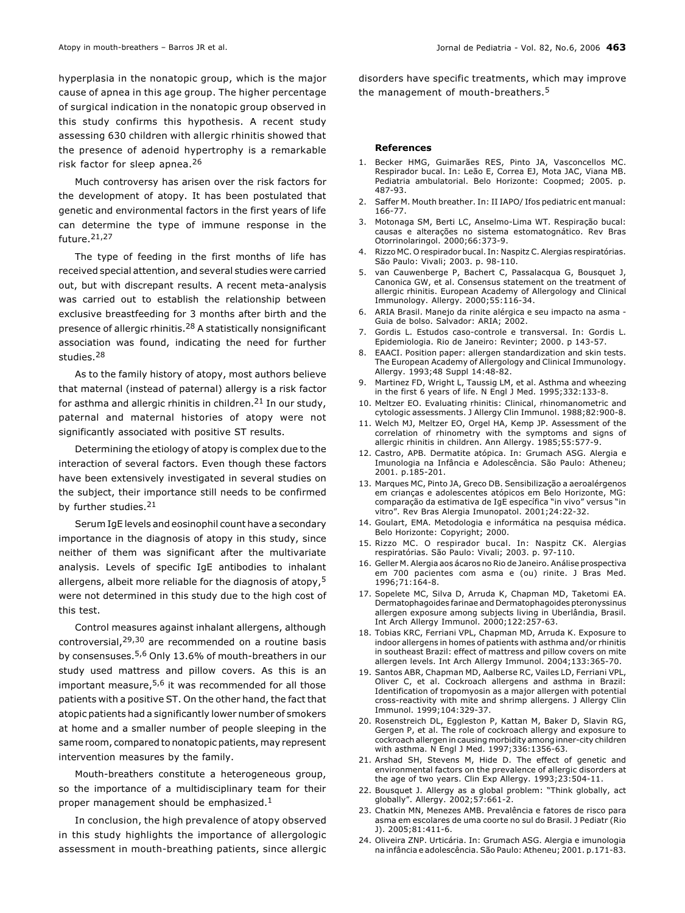hyperplasia in the nonatopic group, which is the major cause of apnea in this age group. The higher percentage of surgical indication in the nonatopic group observed in this study confirms this hypothesis. A recent study assessing 630 children with allergic rhinitis showed that the presence of adenoid hypertrophy is a remarkable risk factor for sleep apnea.<sup>26</sup>

Much controversy has arisen over the risk factors for the development of atopy. It has been postulated that genetic and environmental factors in the first years of life can determine the type of immune response in the future.21,27

The type of feeding in the first months of life has received special attention, and several studies were carried out, but with discrepant results. A recent meta-analysis was carried out to establish the relationship between exclusive breastfeeding for 3 months after birth and the presence of allergic rhinitis.<sup>28</sup> A statistically nonsignificant association was found, indicating the need for further studies.<sup>28</sup>

As to the family history of atopy, most authors believe that maternal (instead of paternal) allergy is a risk factor for asthma and allergic rhinitis in children.<sup>21</sup> In our study, paternal and maternal histories of atopy were not significantly associated with positive ST results.

Determining the etiology of atopy is complex due to the interaction of several factors. Even though these factors have been extensively investigated in several studies on the subject, their importance still needs to be confirmed by further studies.<sup>21</sup>

Serum IgE levels and eosinophil count have a secondary importance in the diagnosis of atopy in this study, since neither of them was significant after the multivariate analysis. Levels of specific IgE antibodies to inhalant allergens, albeit more reliable for the diagnosis of atopy,<sup>5</sup> were not determined in this study due to the high cost of this test.

Control measures against inhalant allergens, although controversial,29,30 are recommended on a routine basis by consensuses.5,6 Only 13.6% of mouth-breathers in our study used mattress and pillow covers. As this is an important measure, $5,6$  it was recommended for all those patients with a positive ST. On the other hand, the fact that atopic patients had a significantly lower number of smokers at home and a smaller number of people sleeping in the same room, compared to nonatopic patients, may represent intervention measures by the family.

Mouth-breathers constitute a heterogeneous group, so the importance of a multidisciplinary team for their proper management should be emphasized.<sup>1</sup>

In conclusion, the high prevalence of atopy observed in this study highlights the importance of allergologic assessment in mouth-breathing patients, since allergic

disorders have specific treatments, which may improve the management of mouth-breathers.<sup>5</sup>

#### References

- 1. Becker HMG, Guimarães RES, Pinto JA, Vasconcellos MC. Respirador bucal. In: Leão E, Correa EJ, Mota JAC, Viana MB. Pediatria ambulatorial. Belo Horizonte: Coopmed; 2005. p. 487-93.
- 2. Saffer M. Mouth breather. In: II IAPO/ Ifos pediatric ent manual: 166-77.
- 3. Motonaga SM, Berti LC, Anselmo-Lima WT. Respiração bucal: causas e alterações no sistema estomatognático. Rev Bras Otorrinolaringol. 2000;66:373-9.
- 4. Rizzo MC. O respirador bucal. In: Naspitz C. Alergias respiratórias. São Paulo: Vivali; 2003. p. 98-110.
- 5. van Cauwenberge P, Bachert C, Passalacqua G, Bousquet J, Canonica GW, et al. Consensus statement on the treatment of allergic rhinitis. European Academy of Allergology and Clinical Immunology. Allergy. 2000;55:116-34.
- 6. ARIA Brasil. Manejo da rinite alérgica e seu impacto na asma Guia de bolso. Salvador: ARIA; 2002.
- 7. Gordis L. Estudos caso-controle e transversal. In: Gordis L. Epidemiologia. Rio de Janeiro: Revinter; 2000. p 143-57.
- EAACI. Position paper: allergen standardization and skin tests. The European Academy of Allergology and Clinical Immunology. Allergy. 1993;48 Suppl 14:48-82.
- 9. Martinez FD, Wright L, Taussig LM, et al. Asthma and wheezing in the first 6 years of life. N Engl J Med. 1995;332:133-8.
- 10. Meltzer EO. Evaluating rhinitis: Clinical, rhinomanometric and cytologic assessments. J Allergy Clin Immunol. 1988;82:900-8.
- 11. Welch MJ, Meltzer EO, Orgel HA, Kemp JP. Assessment of the correlation of rhinometry with the symptoms and signs of allergic rhinitis in children. Ann Allergy. 1985;55:577-9.
- 12. Castro, APB. Dermatite atópica. In: Grumach ASG. Alergia e Imunologia na Infância e Adolescência. São Paulo: Atheneu; 2001. p.185-201.
- 13. Marques MC, Pinto JA, Greco DB. Sensibilização a aeroalérgenos em crianças e adolescentes atópicos em Belo Horizonte, MG: comparação da estimativa de IqE específica "in vivo" versus "in vitro". Rev Bras Alergia Imunopatol. 2001;24:22-32.
- 14. Goulart, EMA. Metodologia e informática na pesquisa médica. Belo Horizonte: Copyright; 2000.
- 15. Rizzo MC. O respirador bucal. In: Naspitz CK. Alergias respiratórias. São Paulo: Vivali; 2003. p. 97-110.
- 16. Geller M. Alergia aos ácaros no Rio de Janeiro. Análise prospectiva em 700 pacientes com asma e (ou) rinite. J Bras Med. 1996;71:164-8.
- 17. Sopelete MC, Silva D, Arruda K, Chapman MD, Taketomi EA. Dermatophagoides farinae and Dermatophagoides pteronyssinus allergen exposure among subjects living in Uberlândia, Brasil. Int Arch Allergy Immunol. 2000;122:257-63.
- 18. Tobias KRC, Ferriani VPL, Chapman MD, Arruda K. Exposure to indoor allergens in homes of patients with asthma and/or rhinitis in southeast Brazil: effect of mattress and pillow covers on mite allergen levels. Int Arch Allergy Immunol. 2004;133:365-70.
- 19. Santos ABR, Chapman MD, Aalberse RC, Vailes LD, Ferriani VPL, Oliver C, et al. Cockroach allergens and asthma in Brazil: Identification of tropomyosin as a major allergen with potential cross-reactivity with mite and shrimp allergens. J Allergy Clin Immunol. 1999;104:329-37.
- 20. Rosenstreich DL, Eggleston P, Kattan M, Baker D, Slavin RG, Gergen P, et al. The role of cockroach allergy and exposure to cockroach allergen in causing morbidity among inner-city children with asthma. N Engl J Med. 1997;336:1356-63.
- 21. Arshad SH, Stevens M, Hide D. The effect of genetic and environmental factors on the prevalence of allergic disorders at the age of two years. Clin Exp Allergy. 1993;23:504-11.
- 22. Bousquet J. Allergy as a global problem: Think globally, act globally". Allergy. 2002;57:661-2.
- 23. Chatkin MN, Menezes AMB. Prevalência e fatores de risco para asma em escolares de uma coorte no sul do Brasil. J Pediatr (Rio J). 2005;81:411-6.
- 24. Oliveira ZNP. Urticária. In: Grumach ASG. Alergia e imunologia na infância e adolescência. São Paulo: Atheneu; 2001. p.171-83.